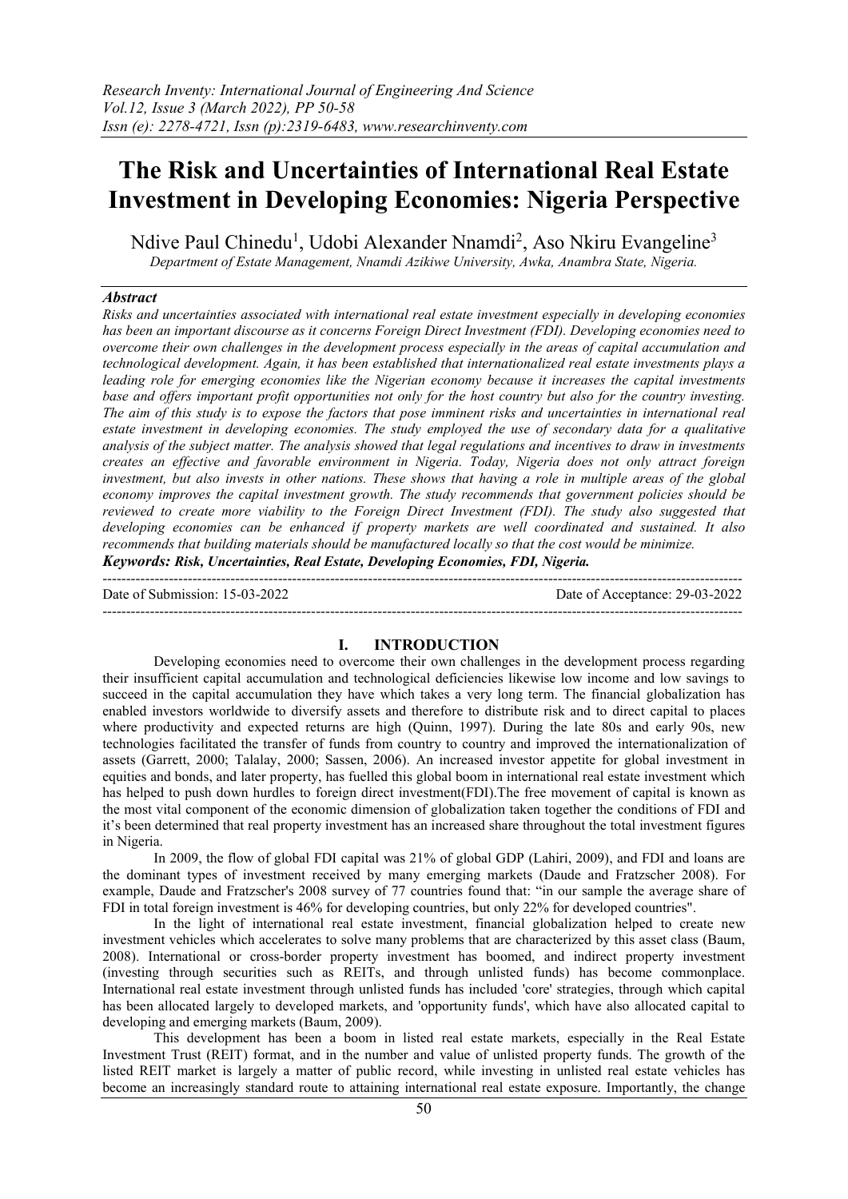# The Risk and Uncertainties of International Real Estate Investment in Developing Economies: Nigeria Perspective

Ndive Paul Chinedu<sup>1</sup>, Udobi Alexander Nnamdi<sup>2</sup>, Aso Nkiru Evangeline<sup>3</sup> *Department of Estate Management, Nnamdi Azikiwe University, Awka, Anambra State, Nigeria.*

## *Abstract*

*Risks and uncertainties associated with international real estate investment especially in developing economies has been an important discourse as it concerns Foreign Direct Investment (FDI). Developing economies need to overcome their own challenges in the development process especially in the areas of capital accumulation and technological development. Again, it has been established that internationalized real estate investments plays a leading role for emerging economies like the Nigerian economy because it increases the capital investments base and offers important profit opportunities not only for the host country but also for the country investing. The aim of this study is to expose the factors that pose imminent risks and uncertainties in international real estate investment in developing economies. The study employed the use of secondary data for a qualitative analysis of the subject matter. The analysis showed that legal regulations and incentives to draw in investments creates an effective and favorable environment in Nigeria. Today, Nigeria does not only attract foreign investment, but also invests in other nations. These shows that having a role in multiple areas of the global economy improves the capital investment growth. The study recommends that government policies should be reviewed to create more viability to the Foreign Direct Investment (FDI). The study also suggested that developing economies can be enhanced if property markets are well coordinated and sustained. It also recommends that building materials should be manufactured locally so that the cost would be minimize.*

*Keywords: Risk, Uncertainties, Real Estate, Developing Economies, FDI, Nigeria.*

--------------------------------------------------------------------------------------------------------------------------------------- Date of Submission: 15-03-2022 Date of Acceptance: 29-03-2022 ---------------------------------------------------------------------------------------------------------------------------------------

# I. INTRODUCTION

Developing economies need to overcome their own challenges in the development process regarding their insufficient capital accumulation and technological deficiencies likewise low income and low savings to succeed in the capital accumulation they have which takes a very long term. The financial globalization has enabled investors worldwide to diversify assets and therefore to distribute risk and to direct capital to places where productivity and expected returns are high (Quinn, 1997). During the late 80s and early 90s, new technologies facilitated the transfer of funds from country to country and improved the internationalization of assets (Garrett, 2000; Talalay, 2000; Sassen, 2006). An increased investor appetite for global investment in equities and bonds, and later property, has fuelled this global boom in international real estate investment which has helped to push down hurdles to foreign direct investment(FDI).The free movement of capital is known as the most vital component of the economic dimension of globalization taken together the conditions of FDI and it's been determined that real property investment has an increased share throughout the total investment figures in Nigeria.

In 2009, the flow of global FDI capital was 21% of global GDP (Lahiri, 2009), and FDI and loans are the dominant types of investment received by many emerging markets (Daude and Fratzscher 2008). For example, Daude and Fratzscher's 2008 survey of 77 countries found that: "in our sample the average share of FDI in total foreign investment is 46% for developing countries, but only 22% for developed countries".

In the light of international real estate investment, financial globalization helped to create new investment vehicles which accelerates to solve many problems that are characterized by this asset class (Baum, 2008). International or cross-border property investment has boomed, and indirect property investment (investing through securities such as REITs, and through unlisted funds) has become commonplace. International real estate investment through unlisted funds has included 'core' strategies, through which capital has been allocated largely to developed markets, and 'opportunity funds', which have also allocated capital to developing and emerging markets (Baum, 2009).

This development has been a boom in listed real estate markets, especially in the Real Estate Investment Trust (REIT) format, and in the number and value of unlisted property funds. The growth of the listed REIT market is largely a matter of public record, while investing in unlisted real estate vehicles has become an increasingly standard route to attaining international real estate exposure. Importantly, the change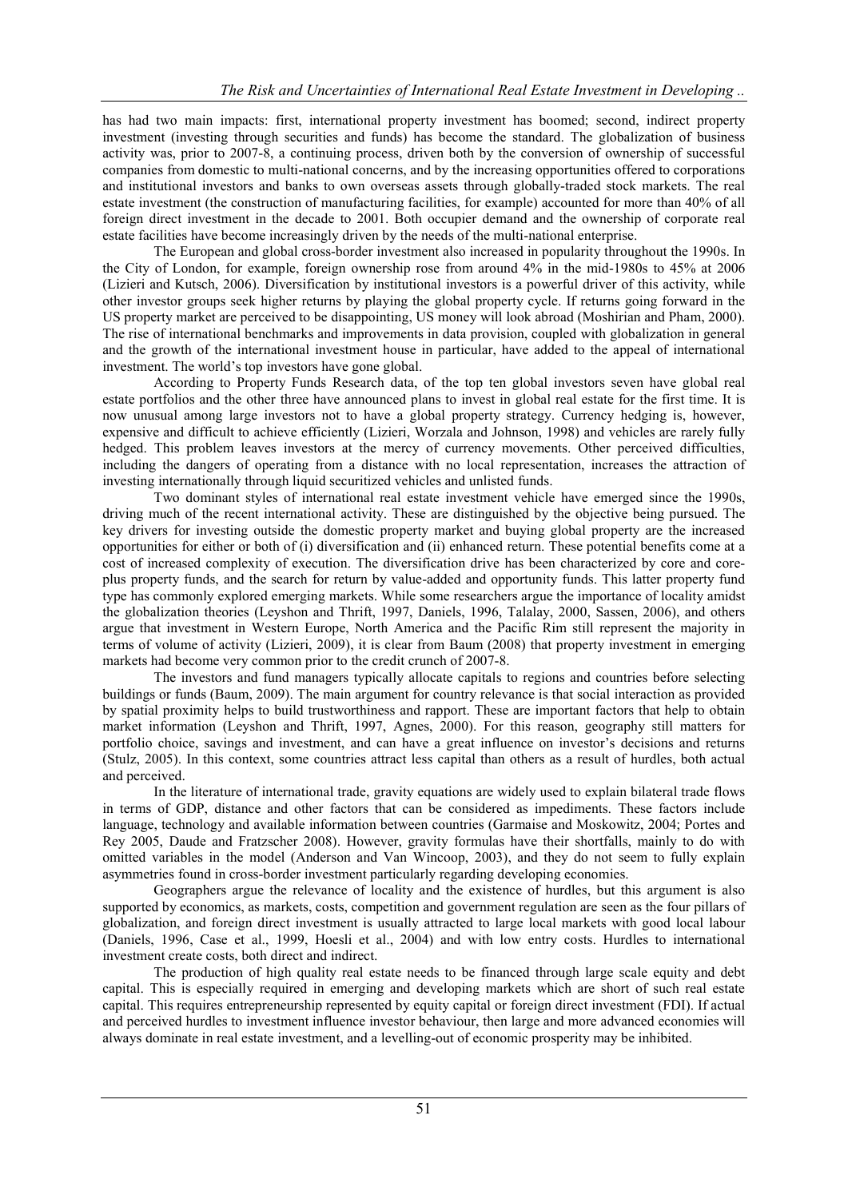has had two main impacts: first, international property investment has boomed; second, indirect property investment (investing through securities and funds) has become the standard. The globalization of business activity was, prior to 2007-8, a continuing process, driven both by the conversion of ownership of successful companies from domestic to multi-national concerns, and by the increasing opportunities offered to corporations and institutional investors and banks to own overseas assets through globally-traded stock markets. The real estate investment (the construction of manufacturing facilities, for example) accounted for more than 40% of all foreign direct investment in the decade to 2001. Both occupier demand and the ownership of corporate real estate facilities have become increasingly driven by the needs of the multi-national enterprise.

The European and global cross-border investment also increased in popularity throughout the 1990s. In the City of London, for example, foreign ownership rose from around 4% in the mid-1980s to 45% at 2006 (Lizieri and Kutsch, 2006). Diversification by institutional investors is a powerful driver of this activity, while other investor groups seek higher returns by playing the global property cycle. If returns going forward in the US property market are perceived to be disappointing, US money will look abroad (Moshirian and Pham, 2000). The rise of international benchmarks and improvements in data provision, coupled with globalization in general and the growth of the international investment house in particular, have added to the appeal of international investment. The world's top investors have gone global.

According to Property Funds Research data, of the top ten global investors seven have global real estate portfolios and the other three have announced plans to invest in global real estate for the first time. It is now unusual among large investors not to have a global property strategy. Currency hedging is, however, expensive and difficult to achieve efficiently (Lizieri, Worzala and Johnson, 1998) and vehicles are rarely fully hedged. This problem leaves investors at the mercy of currency movements. Other perceived difficulties, including the dangers of operating from a distance with no local representation, increases the attraction of investing internationally through liquid securitized vehicles and unlisted funds.

Two dominant styles of international real estate investment vehicle have emerged since the 1990s, driving much of the recent international activity. These are distinguished by the objective being pursued. The key drivers for investing outside the domestic property market and buying global property are the increased opportunities for either or both of (i) diversification and (ii) enhanced return. These potential benefits come at a cost of increased complexity of execution. The diversification drive has been characterized by core and coreplus property funds, and the search for return by value-added and opportunity funds. This latter property fund type has commonly explored emerging markets. While some researchers argue the importance of locality amidst the globalization theories (Leyshon and Thrift, 1997, Daniels, 1996, Talalay, 2000, Sassen, 2006), and others argue that investment in Western Europe, North America and the Pacific Rim still represent the majority in terms of volume of activity (Lizieri, 2009), it is clear from Baum (2008) that property investment in emerging markets had become very common prior to the credit crunch of 2007-8.

The investors and fund managers typically allocate capitals to regions and countries before selecting buildings or funds (Baum, 2009). The main argument for country relevance is that social interaction as provided by spatial proximity helps to build trustworthiness and rapport. These are important factors that help to obtain market information (Leyshon and Thrift, 1997, Agnes, 2000). For this reason, geography still matters for portfolio choice, savings and investment, and can have a great influence on investor's decisions and returns (Stulz, 2005). In this context, some countries attract less capital than others as a result of hurdles, both actual and perceived.

In the literature of international trade, gravity equations are widely used to explain bilateral trade flows in terms of GDP, distance and other factors that can be considered as impediments. These factors include language, technology and available information between countries (Garmaise and Moskowitz, 2004; Portes and Rey 2005, Daude and Fratzscher 2008). However, gravity formulas have their shortfalls, mainly to do with omitted variables in the model (Anderson and Van Wincoop, 2003), and they do not seem to fully explain asymmetries found in cross-border investment particularly regarding developing economies.

Geographers argue the relevance of locality and the existence of hurdles, but this argument is also supported by economics, as markets, costs, competition and government regulation are seen as the four pillars of globalization, and foreign direct investment is usually attracted to large local markets with good local labour (Daniels, 1996, Case et al., 1999, Hoesli et al., 2004) and with low entry costs. Hurdles to international investment create costs, both direct and indirect.

The production of high quality real estate needs to be financed through large scale equity and debt capital. This is especially required in emerging and developing markets which are short of such real estate capital. This requires entrepreneurship represented by equity capital or foreign direct investment (FDI). If actual and perceived hurdles to investment influence investor behaviour, then large and more advanced economies will always dominate in real estate investment, and a levelling-out of economic prosperity may be inhibited.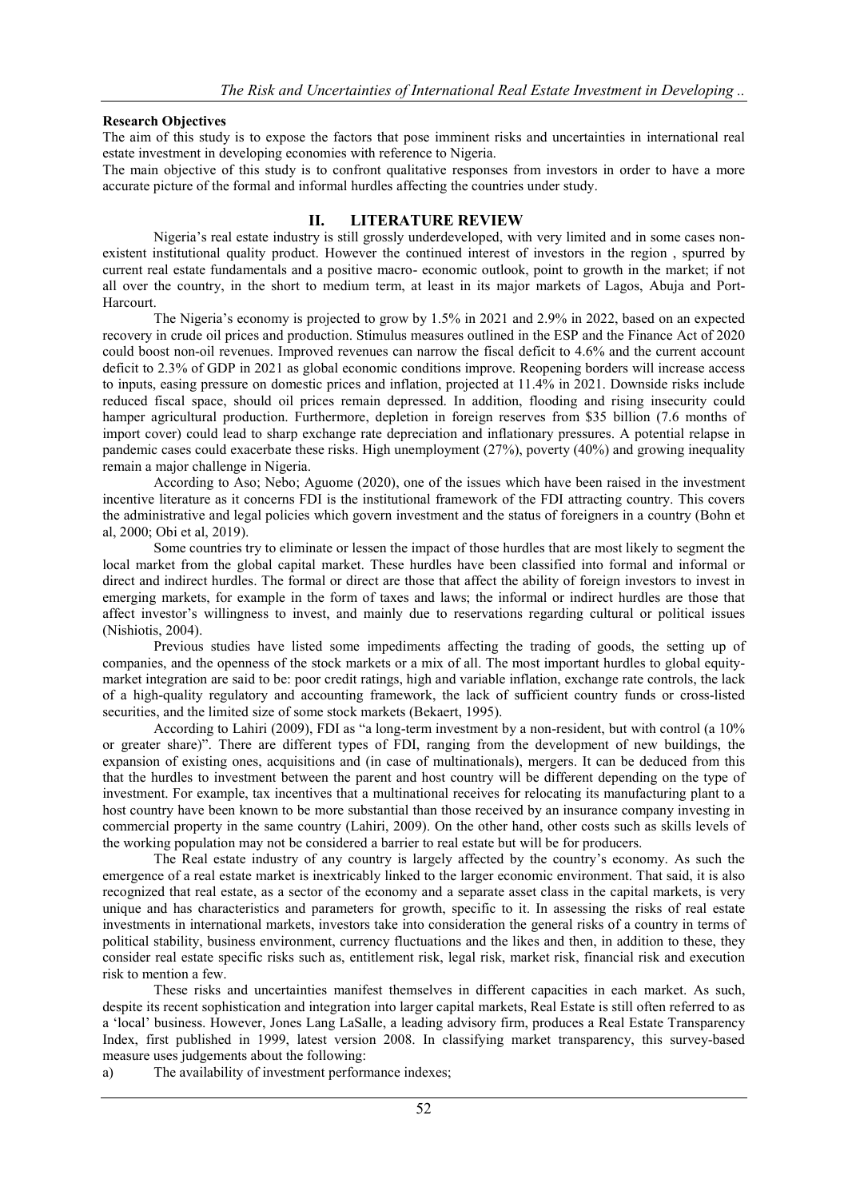# Research Objectives

The aim of this study is to expose the factors that pose imminent risks and uncertainties in international real estate investment in developing economies with reference to Nigeria.

The main objective of this study is to confront qualitative responses from investors in order to have a more accurate picture of the formal and informal hurdles affecting the countries under study.

# II. LITERATURE REVIEW

Nigeria's real estate industry is still grossly underdeveloped, with very limited and in some cases nonexistent institutional quality product. However the continued interest of investors in the region , spurred by current real estate fundamentals and a positive macro- economic outlook, point to growth in the market; if not all over the country, in the short to medium term, at least in its major markets of Lagos, Abuja and Port-Harcourt.

The Nigeria's economy is projected to grow by 1.5% in 2021 and 2.9% in 2022, based on an expected recovery in crude oil prices and production. Stimulus measures outlined in the ESP and the Finance Act of 2020 could boost non-oil revenues. Improved revenues can narrow the fiscal deficit to 4.6% and the current account deficit to 2.3% of GDP in 2021 as global economic conditions improve. Reopening borders will increase access to inputs, easing pressure on domestic prices and inflation, projected at 11.4% in 2021. Downside risks include reduced fiscal space, should oil prices remain depressed. In addition, flooding and rising insecurity could hamper agricultural production. Furthermore, depletion in foreign reserves from \$35 billion (7.6 months of import cover) could lead to sharp exchange rate depreciation and inflationary pressures. A potential relapse in pandemic cases could exacerbate these risks. High unemployment (27%), poverty (40%) and growing inequality remain a major challenge in Nigeria.

According to Aso; Nebo; Aguome (2020), one of the issues which have been raised in the investment incentive literature as it concerns FDI is the institutional framework of the FDI attracting country. This covers the administrative and legal policies which govern investment and the status of foreigners in a country (Bohn et al, 2000; Obi et al, 2019).

Some countries try to eliminate or lessen the impact of those hurdles that are most likely to segment the local market from the global capital market. These hurdles have been classified into formal and informal or direct and indirect hurdles. The formal or direct are those that affect the ability of foreign investors to invest in emerging markets, for example in the form of taxes and laws; the informal or indirect hurdles are those that affect investor's willingness to invest, and mainly due to reservations regarding cultural or political issues (Nishiotis, 2004).

Previous studies have listed some impediments affecting the trading of goods, the setting up of companies, and the openness of the stock markets or a mix of all. The most important hurdles to global equitymarket integration are said to be: poor credit ratings, high and variable inflation, exchange rate controls, the lack of a high-quality regulatory and accounting framework, the lack of sufficient country funds or cross-listed securities, and the limited size of some stock markets (Bekaert, 1995).

According to Lahiri (2009), FDI as "a long-term investment by a non-resident, but with control (a 10% or greater share)". There are different types of FDI, ranging from the development of new buildings, the expansion of existing ones, acquisitions and (in case of multinationals), mergers. It can be deduced from this that the hurdles to investment between the parent and host country will be different depending on the type of investment. For example, tax incentives that a multinational receives for relocating its manufacturing plant to a host country have been known to be more substantial than those received by an insurance company investing in commercial property in the same country (Lahiri, 2009). On the other hand, other costs such as skills levels of the working population may not be considered a barrier to real estate but will be for producers.

The Real estate industry of any country is largely affected by the country's economy. As such the emergence of a real estate market is inextricably linked to the larger economic environment. That said, it is also recognized that real estate, as a sector of the economy and a separate asset class in the capital markets, is very unique and has characteristics and parameters for growth, specific to it. In assessing the risks of real estate investments in international markets, investors take into consideration the general risks of a country in terms of political stability, business environment, currency fluctuations and the likes and then, in addition to these, they consider real estate specific risks such as, entitlement risk, legal risk, market risk, financial risk and execution risk to mention a few.

These risks and uncertainties manifest themselves in different capacities in each market. As such, despite its recent sophistication and integration into larger capital markets, Real Estate is still often referred to as a 'local' business. However, Jones Lang LaSalle, a leading advisory firm, produces a Real Estate Transparency Index, first published in 1999, latest version 2008. In classifying market transparency, this survey-based measure uses judgements about the following:

a) The availability of investment performance indexes;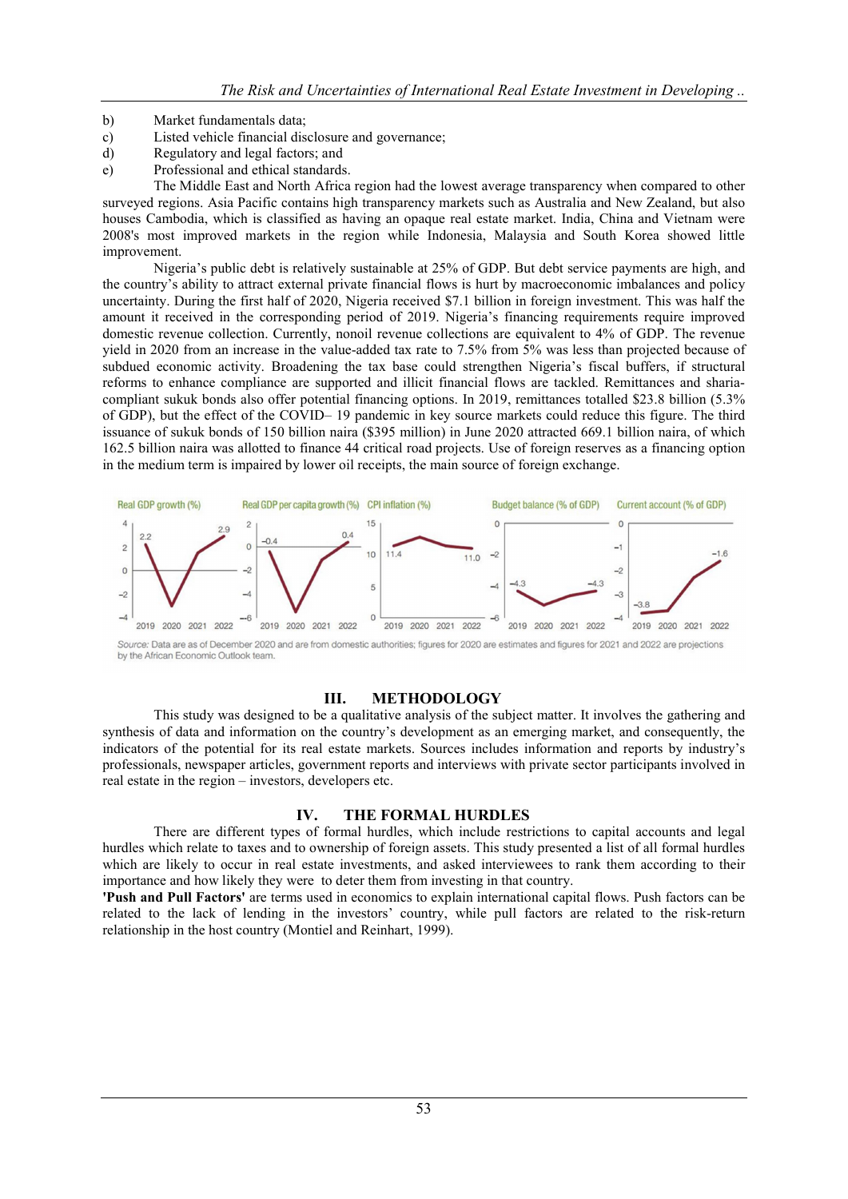- b) Market fundamentals data;
- c) Listed vehicle financial disclosure and governance;
- d) Regulatory and legal factors; and
- e) Professional and ethical standards.

The Middle East and North Africa region had the lowest average transparency when compared to other surveyed regions. Asia Pacific contains high transparency markets such as Australia and New Zealand, but also houses Cambodia, which is classified as having an opaque real estate market. India, China and Vietnam were 2008's most improved markets in the region while Indonesia, Malaysia and South Korea showed little improvement.

Nigeria's public debt is relatively sustainable at 25% of GDP. But debt service payments are high, and the country's ability to attract external private financial flows is hurt by macroeconomic imbalances and policy uncertainty. During the first half of 2020, Nigeria received \$7.1 billion in foreign investment. This was half the amount it received in the corresponding period of 2019. Nigeria's financing requirements require improved domestic revenue collection. Currently, nonoil revenue collections are equivalent to 4% of GDP. The revenue yield in 2020 from an increase in the value-added tax rate to 7.5% from 5% was less than projected because of subdued economic activity. Broadening the tax base could strengthen Nigeria's fiscal buffers, if structural reforms to enhance compliance are supported and illicit financial flows are tackled. Remittances and shariacompliant sukuk bonds also offer potential financing options. In 2019, remittances totalled \$23.8 billion (5.3% of GDP), but the effect of the COVID– 19 pandemic in key source markets could reduce this figure. The third issuance of sukuk bonds of 150 billion naira (\$395 million) in June 2020 attracted 669.1 billion naira, of which 162.5 billion naira was allotted to finance 44 critical road projects. Use of foreign reserves as a financing option in the medium term is impaired by lower oil receipts, the main source of foreign exchange.



Source: Data are as of December 2020 and are from domestic authorities; figures for 2020 are estimates and figures for 2021 and 2022 are projections by the African Economic Outlook team.

#### III. METHODOLOGY

This study was designed to be a qualitative analysis of the subject matter. It involves the gathering and synthesis of data and information on the country's development as an emerging market, and consequently, the indicators of the potential for its real estate markets. Sources includes information and reports by industry's professionals, newspaper articles, government reports and interviews with private sector participants involved in real estate in the region – investors, developers etc.

#### IV. THE FORMAL HURDLES

There are different types of formal hurdles, which include restrictions to capital accounts and legal hurdles which relate to taxes and to ownership of foreign assets. This study presented a list of all formal hurdles which are likely to occur in real estate investments, and asked interviewees to rank them according to their importance and how likely they were to deter them from investing in that country.

'Push and Pull Factors' are terms used in economics to explain international capital flows. Push factors can be related to the lack of lending in the investors' country, while pull factors are related to the risk-return relationship in the host country (Montiel and Reinhart, 1999).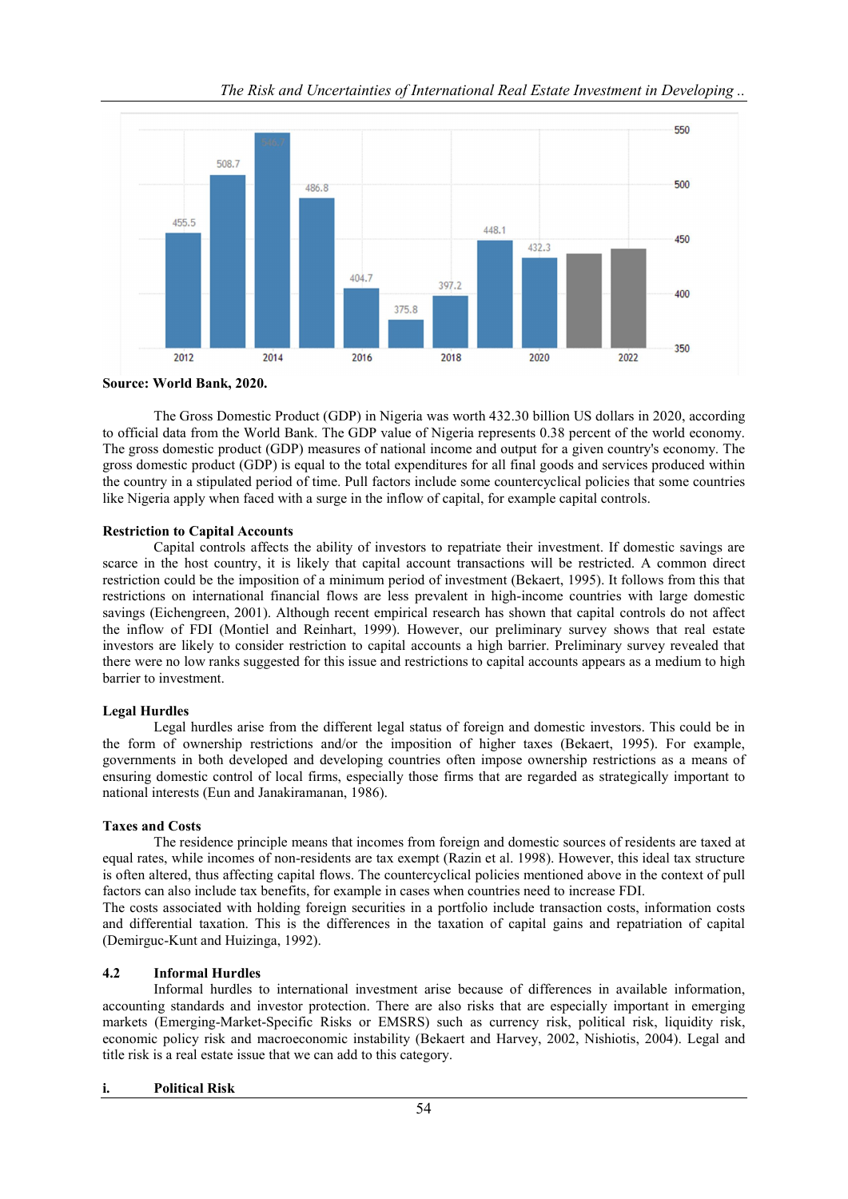

Source: World Bank, 2020.

The Gross Domestic Product (GDP) in Nigeria was worth 432.30 billion US dollars in 2020, according to official data from the World Bank. The GDP value of Nigeria represents 0.38 percent of the world economy. The gross domestic product (GDP) measures of national income and output for a given country's economy. The gross domestic product (GDP) is equal to the total expenditures for all final goods and services produced within the country in a stipulated period of time. Pull factors include some countercyclical policies that some countries like Nigeria apply when faced with a surge in the inflow of capital, for example capital controls.

#### Restriction to Capital Accounts

Capital controls affects the ability of investors to repatriate their investment. If domestic savings are scarce in the host country, it is likely that capital account transactions will be restricted. A common direct restriction could be the imposition of a minimum period of investment (Bekaert, 1995). It follows from this that restrictions on international financial flows are less prevalent in high-income countries with large domestic savings (Eichengreen, 2001). Although recent empirical research has shown that capital controls do not affect the inflow of FDI (Montiel and Reinhart, 1999). However, our preliminary survey shows that real estate investors are likely to consider restriction to capital accounts a high barrier. Preliminary survey revealed that there were no low ranks suggested for this issue and restrictions to capital accounts appears as a medium to high barrier to investment.

# Legal Hurdles

Legal hurdles arise from the different legal status of foreign and domestic investors. This could be in the form of ownership restrictions and/or the imposition of higher taxes (Bekaert, 1995). For example, governments in both developed and developing countries often impose ownership restrictions as a means of ensuring domestic control of local firms, especially those firms that are regarded as strategically important to national interests (Eun and Janakiramanan, 1986).

# Taxes and Costs

The residence principle means that incomes from foreign and domestic sources of residents are taxed at equal rates, while incomes of non-residents are tax exempt (Razin et al. 1998). However, this ideal tax structure is often altered, thus affecting capital flows. The countercyclical policies mentioned above in the context of pull factors can also include tax benefits, for example in cases when countries need to increase FDI.

The costs associated with holding foreign securities in a portfolio include transaction costs, information costs and differential taxation. This is the differences in the taxation of capital gains and repatriation of capital (Demirguc-Kunt and Huizinga, 1992).

# 4.2 Informal Hurdles

Informal hurdles to international investment arise because of differences in available information, accounting standards and investor protection. There are also risks that are especially important in emerging markets (Emerging-Market-Specific Risks or EMSRS) such as currency risk, political risk, liquidity risk, economic policy risk and macroeconomic instability (Bekaert and Harvey, 2002, Nishiotis, 2004). Legal and title risk is a real estate issue that we can add to this category.

#### i. Political Risk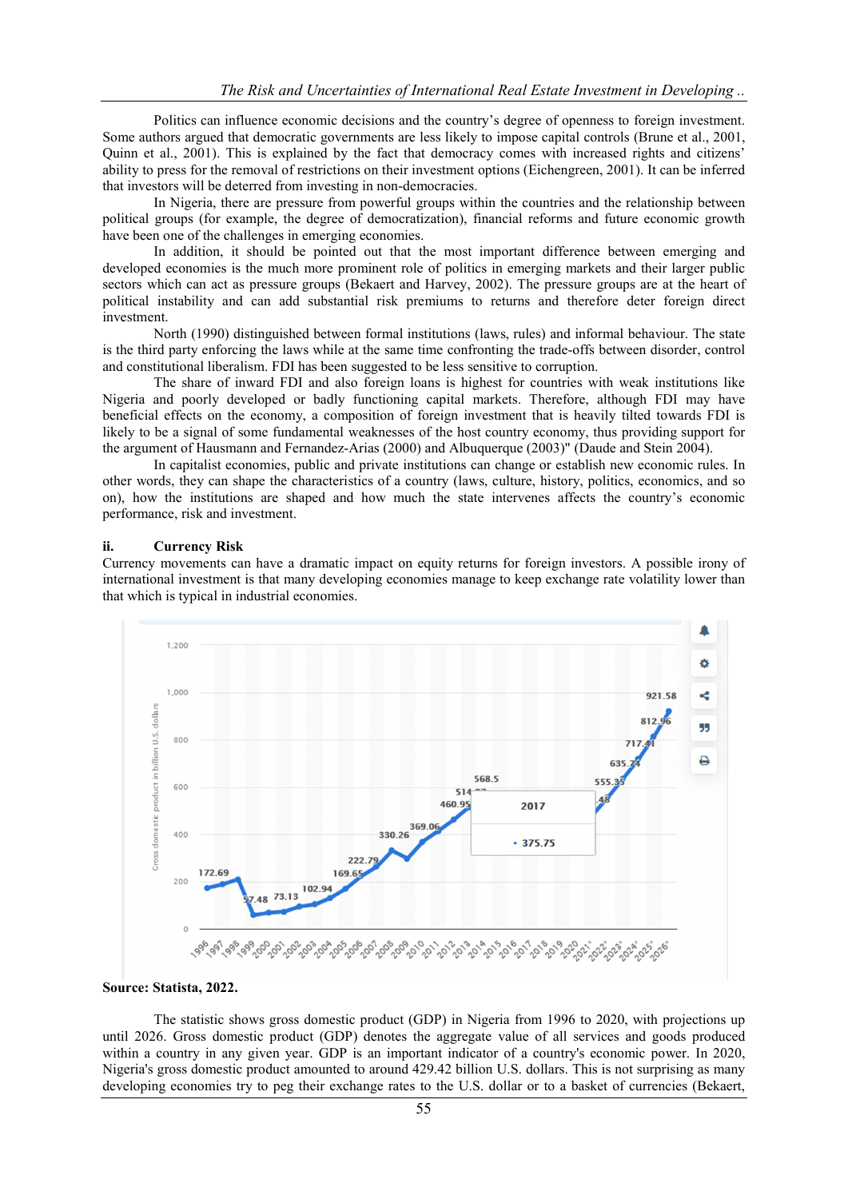Politics can influence economic decisions and the country's degree of openness to foreign investment. Some authors argued that democratic governments are less likely to impose capital controls (Brune et al., 2001, Quinn et al., 2001). This is explained by the fact that democracy comes with increased rights and citizens' ability to press for the removal of restrictions on their investment options (Eichengreen, 2001). It can be inferred that investors will be deterred from investing in non-democracies.

In Nigeria, there are pressure from powerful groups within the countries and the relationship between political groups (for example, the degree of democratization), financial reforms and future economic growth have been one of the challenges in emerging economies.

In addition, it should be pointed out that the most important difference between emerging and developed economies is the much more prominent role of politics in emerging markets and their larger public sectors which can act as pressure groups (Bekaert and Harvey, 2002). The pressure groups are at the heart of political instability and can add substantial risk premiums to returns and therefore deter foreign direct investment.

North (1990) distinguished between formal institutions (laws, rules) and informal behaviour. The state is the third party enforcing the laws while at the same time confronting the trade-offs between disorder, control and constitutional liberalism. FDI has been suggested to be less sensitive to corruption.

The share of inward FDI and also foreign loans is highest for countries with weak institutions like Nigeria and poorly developed or badly functioning capital markets. Therefore, although FDI may have beneficial effects on the economy, a composition of foreign investment that is heavily tilted towards FDI is likely to be a signal of some fundamental weaknesses of the host country economy, thus providing support for the argument of Hausmann and Fernandez-Arias (2000) and Albuquerque (2003)" (Daude and Stein 2004).

In capitalist economies, public and private institutions can change or establish new economic rules. In other words, they can shape the characteristics of a country (laws, culture, history, politics, economics, and so on), how the institutions are shaped and how much the state intervenes affects the country's economic performance, risk and investment.

#### ii. Currency Risk

Currency movements can have a dramatic impact on equity returns for foreign investors. A possible irony of international investment is that many developing economies manage to keep exchange rate volatility lower than that which is typical in industrial economies.



Source: Statista, 2022.

The statistic shows gross domestic product (GDP) in Nigeria from 1996 to 2020, with projections up until 2026. Gross domestic product (GDP) denotes the aggregate value of all services and goods produced within a country in any given year. GDP is an important indicator of a country's economic power. In 2020, Nigeria's gross domestic product amounted to around 429.42 billion U.S. dollars. This is not surprising as many developing economies try to peg their exchange rates to the U.S. dollar or to a basket of currencies (Bekaert,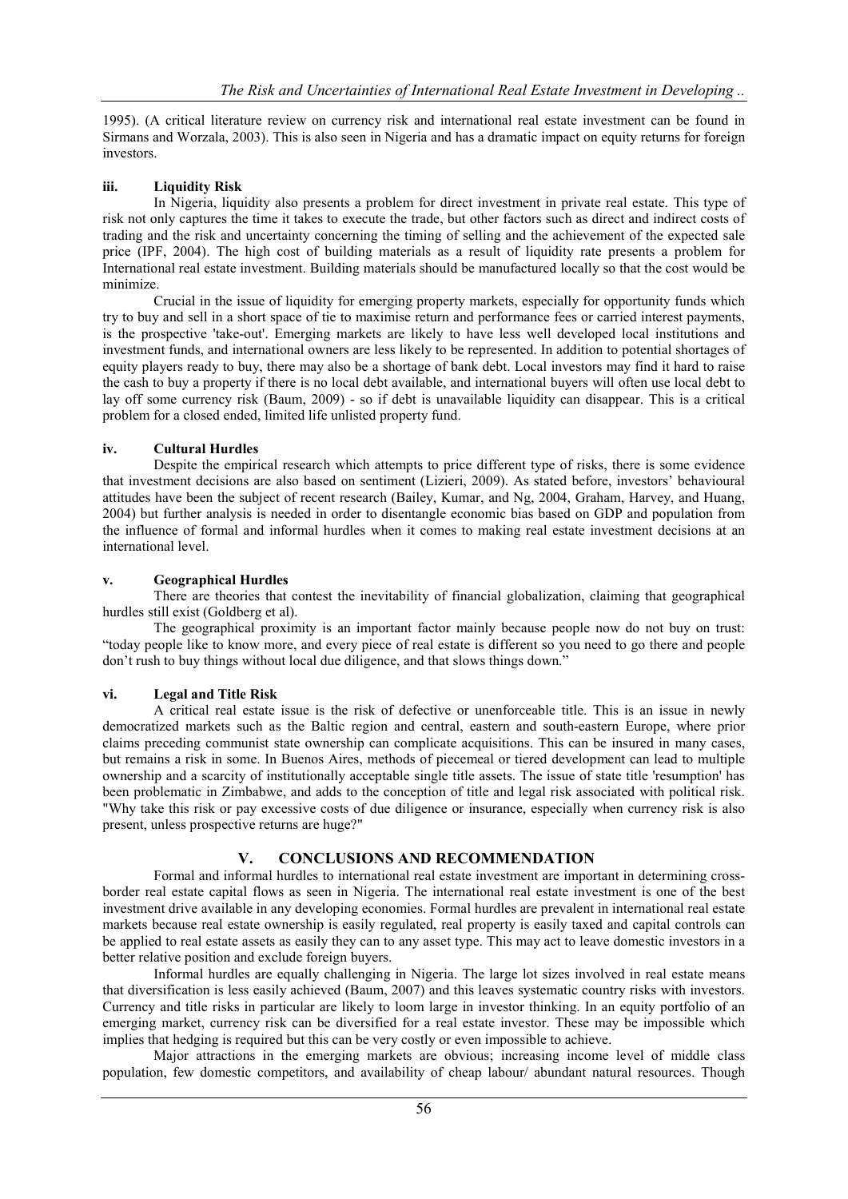1995). (A critical literature review on currency risk and international real estate investment can be found in Sirmans and Worzala, 2003). This is also seen in Nigeria and has a dramatic impact on equity returns for foreign investors.

## iii. Liquidity Risk

In Nigeria, liquidity also presents a problem for direct investment in private real estate. This type of risk not only captures the time it takes to execute the trade, but other factors such as direct and indirect costs of trading and the risk and uncertainty concerning the timing of selling and the achievement of the expected sale price (IPF, 2004). The high cost of building materials as a result of liquidity rate presents a problem for International real estate investment. Building materials should be manufactured locally so that the cost would be minimize.

Crucial in the issue of liquidity for emerging property markets, especially for opportunity funds which try to buy and sell in a short space of tie to maximise return and performance fees or carried interest payments, is the prospective 'take-out'. Emerging markets are likely to have less well developed local institutions and investment funds, and international owners are less likely to be represented. In addition to potential shortages of equity players ready to buy, there may also be a shortage of bank debt. Local investors may find it hard to raise the cash to buy a property if there is no local debt available, and international buyers will often use local debt to lay off some currency risk (Baum, 2009) - so if debt is unavailable liquidity can disappear. This is a critical problem for a closed ended, limited life unlisted property fund.

## iv. Cultural Hurdles

Despite the empirical research which attempts to price different type of risks, there is some evidence that investment decisions are also based on sentiment (Lizieri, 2009). As stated before, investors' behavioural attitudes have been the subject of recent research (Bailey, Kumar, and Ng, 2004, Graham, Harvey, and Huang, 2004) but further analysis is needed in order to disentangle economic bias based on GDP and population from the influence of formal and informal hurdles when it comes to making real estate investment decisions at an international level.

#### v. Geographical Hurdles

There are theories that contest the inevitability of financial globalization, claiming that geographical hurdles still exist (Goldberg et al).

The geographical proximity is an important factor mainly because people now do not buy on trust: "today people like to know more, and every piece of real estate is different so you need to go there and people don't rush to buy things without local due diligence, and that slows things down."

## vi. Legal and Title Risk

A critical real estate issue is the risk of defective or unenforceable title. This is an issue in newly democratized markets such as the Baltic region and central, eastern and south-eastern Europe, where prior claims preceding communist state ownership can complicate acquisitions. This can be insured in many cases, but remains a risk in some. In Buenos Aires, methods of piecemeal or tiered development can lead to multiple ownership and a scarcity of institutionally acceptable single title assets. The issue of state title 'resumption' has been problematic in Zimbabwe, and adds to the conception of title and legal risk associated with political risk. "Why take this risk or pay excessive costs of due diligence or insurance, especially when currency risk is also present, unless prospective returns are huge?"

# V. CONCLUSIONS AND RECOMMENDATION

Formal and informal hurdles to international real estate investment are important in determining crossborder real estate capital flows as seen in Nigeria. The international real estate investment is one of the best investment drive available in any developing economies. Formal hurdles are prevalent in international real estate markets because real estate ownership is easily regulated, real property is easily taxed and capital controls can be applied to real estate assets as easily they can to any asset type. This may act to leave domestic investors in a better relative position and exclude foreign buyers.

Informal hurdles are equally challenging in Nigeria. The large lot sizes involved in real estate means that diversification is less easily achieved (Baum, 2007) and this leaves systematic country risks with investors. Currency and title risks in particular are likely to loom large in investor thinking. In an equity portfolio of an emerging market, currency risk can be diversified for a real estate investor. These may be impossible which implies that hedging is required but this can be very costly or even impossible to achieve.

Major attractions in the emerging markets are obvious; increasing income level of middle class population, few domestic competitors, and availability of cheap labour/ abundant natural resources. Though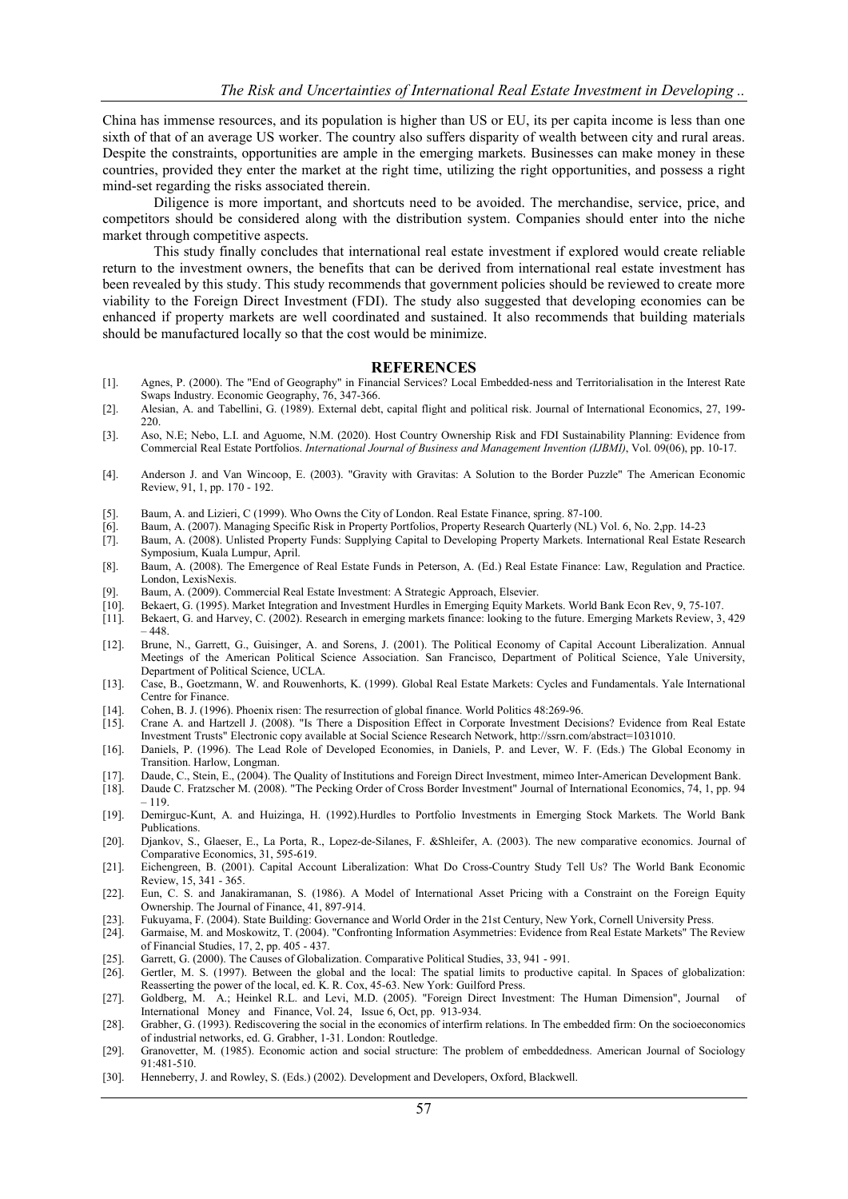China has immense resources, and its population is higher than US or EU, its per capita income is less than one sixth of that of an average US worker. The country also suffers disparity of wealth between city and rural areas. Despite the constraints, opportunities are ample in the emerging markets. Businesses can make money in these countries, provided they enter the market at the right time, utilizing the right opportunities, and possess a right mind-set regarding the risks associated therein.

Diligence is more important, and shortcuts need to be avoided. The merchandise, service, price, and competitors should be considered along with the distribution system. Companies should enter into the niche market through competitive aspects.

This study finally concludes that international real estate investment if explored would create reliable return to the investment owners, the benefits that can be derived from international real estate investment has been revealed by this study. This study recommends that government policies should be reviewed to create more viability to the Foreign Direct Investment (FDI). The study also suggested that developing economies can be enhanced if property markets are well coordinated and sustained. It also recommends that building materials should be manufactured locally so that the cost would be minimize.

#### **REFERENCES**

- [1]. Agnes, P. (2000). The "End of Geography" in Financial Services? Local Embedded-ness and Territorialisation in the Interest Rate Swaps Industry. Economic Geography, 76, 347-366.
- [2]. Alesian, A. and Tabellini, G. (1989). External debt, capital flight and political risk. Journal of International Economics, 27, 199- 220.
- [3]. Aso, N.E; Nebo, L.I. and Aguome, N.M. (2020). Host Country Ownership Risk and FDI Sustainability Planning: Evidence from Commercial Real Estate Portfolios. *International Journal of Business and Management Invention (IJBMI)*, Vol. 09(06), pp. 10-17.
- [4]. Anderson J. and Van Wincoop, E. (2003). "Gravity with Gravitas: A Solution to the Border Puzzle" The American Economic Review, 91, 1, pp. 170 - 192.
- [5]. Baum, A. and Lizieri, C (1999). Who Owns the City of London. Real Estate Finance, spring. 87-100.
- [6]. Baum, A. (2007). Managing Specific Risk in Property Portfolios, Property Research Quarterly (NL) Vol. 6, No. 2,pp. 14-23
- [7]. Baum, A. (2008). Unlisted Property Funds: Supplying Capital to Developing Property Markets. International Real Estate Research Symposium, Kuala Lumpur, April.
- [8]. Baum, A. (2008). The Emergence of Real Estate Funds in Peterson, A. (Ed.) Real Estate Finance: Law, Regulation and Practice. London, LexisNexis.
- [9]. Baum, A. (2009). Commercial Real Estate Investment: A Strategic Approach, Elsevier.
- 
- [10]. Bekaert, G. (1995). Market Integration and Investment Hurdles in Emerging Equity Markets. World Bank Econ Rev, 9, 75-107. [11]. Bekaert, G. and Harvey, C. (2002). Research in emerging markets finance: looking to the future. Emerging Markets Review, 3, 429  $-448.$
- [12]. Brune, N., Garrett, G., Guisinger, A. and Sorens, J. (2001). The Political Economy of Capital Account Liberalization. Annual Meetings of the American Political Science Association. San Francisco, Department of Political Science, Yale University, Department of Political Science, UCLA.
- [13]. Case, B., Goetzmann, W. and Rouwenhorts, K. (1999). Global Real Estate Markets: Cycles and Fundamentals. Yale International Centre for Finance.
- [14]. Cohen, B. J. (1996). Phoenix risen: The resurrection of global finance. World Politics 48:269-96.<br>[15]. Crane A. and Hartzell J. (2008). "Is There a Disposition Effect in Corporate Investment Dec
- [15]. Crane A. and Hartzell J. (2008). "Is There a Disposition Effect in Corporate Investment Decisions? Evidence from Real Estate Investment Trusts" Electronic copy available at Social Science Research Network, http://ssrn.com/abstract=1031010.
- [16]. Daniels, P. (1996). The Lead Role of Developed Economies, in Daniels, P. and Lever, W. F. (Eds.) The Global Economy in Transition. Harlow, Longman.
- [17]. Daude, C., Stein, E., (2004). The Quality of Institutions and Foreign Direct Investment, mimeo Inter-American Development Bank.<br>[18]. Daude C. Fratzscher M. (2008). "The Pecking Order of Cross Border Investment" Jour
- [18]. Daude C. Fratzscher M. (2008). "The Pecking Order of Cross Border Investment" Journal of International Economics, 74, 1, pp. 94 – 119.
- [19]. Demirguc-Kunt, A. and Huizinga, H. (1992).Hurdles to Portfolio Investments in Emerging Stock Markets. The World Bank Publications.
- [20]. Djankov, S., Glaeser, E., La Porta, R., Lopez-de-Silanes, F. &Shleifer, A. (2003). The new comparative economics. Journal of Comparative Economics, 31, 595-619.
- [21]. Eichengreen, B. (2001). Capital Account Liberalization: What Do Cross-Country Study Tell Us? The World Bank Economic Review, 15, 341 - 365.
- [22]. Eun, C. S. and Janakiramanan, S. (1986). A Model of International Asset Pricing with a Constraint on the Foreign Equity Ownership. The Journal of Finance, 41, 897-914.
- [23]. Fukuyama, F. (2004). State Building: Governance and World Order in the 21st Century, New York, Cornell University Press.
- [24]. Garmaise, M. and Moskowitz, T. (2004). "Confronting Information Asymmetries: Evidence from Real Estate Markets" The Review of Financial Studies, 17, 2, pp. 405 - 437.
- [25]. Garrett, G. (2000). The Causes of Globalization. Comparative Political Studies, 33, 941 991. [26]. Gertler, M. S. (1997). Between the global and the local: The spatial limits to productive
- Gertler, M. S. (1997). Between the global and the local: The spatial limits to productive capital. In Spaces of globalization: Reasserting the power of the local, ed. K. R. Cox, 45-63. New York: Guilford Press.
- [27]. Goldberg, M. A.; Heinkel R.L. and Levi, M.D. (2005). "Foreign Direct Investment: The Human Dimension", Journal of International Money and Finance, Vol. 24, Issue 6, Oct, pp. 913-934.
- [28]. Grabher, G. (1993). Rediscovering the social in the economics of interfirm relations. In The embedded firm: On the socioeconomics of industrial networks, ed. G. Grabher, 1-31. London: Routledge.
- [29]. Granovetter, M. (1985). Economic action and social structure: The problem of embeddedness. American Journal of Sociology 91:481-510.
- [30]. Henneberry, J. and Rowley, S. (Eds.) (2002). Development and Developers, Oxford, Blackwell.